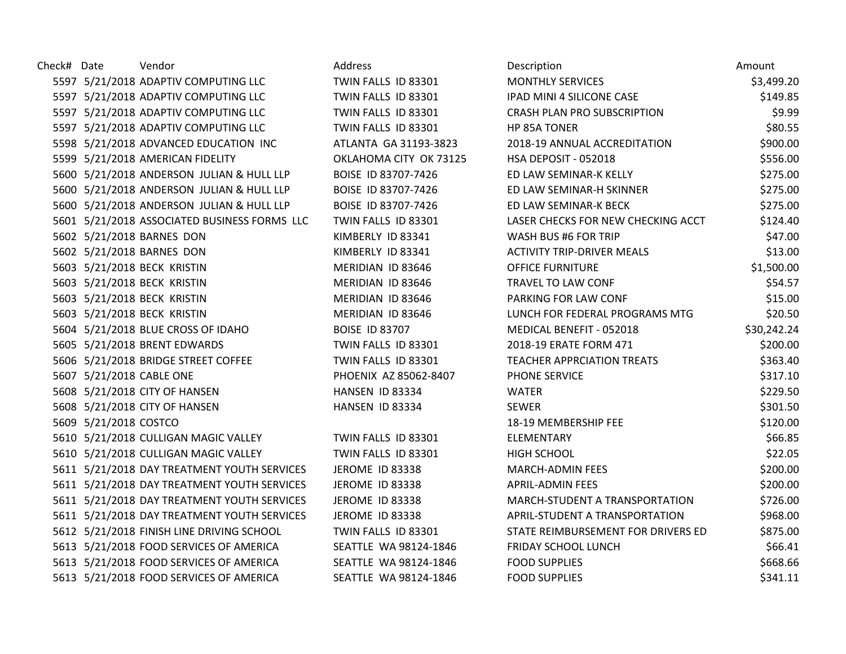| Check# Date |                          | Vendor                                       | Address                | Description                        | Amount      |
|-------------|--------------------------|----------------------------------------------|------------------------|------------------------------------|-------------|
|             |                          | 5597 5/21/2018 ADAPTIV COMPUTING LLC         | TWIN FALLS ID 83301    | <b>MONTHLY SERVICES</b>            | \$3,499.20  |
|             |                          | 5597 5/21/2018 ADAPTIV COMPUTING LLC         | TWIN FALLS ID 83301    | IPAD MINI 4 SILICONE CASE          | \$149.85    |
|             |                          | 5597 5/21/2018 ADAPTIV COMPUTING LLC         | TWIN FALLS ID 83301    | CRASH PLAN PRO SUBSCRIPTION        | \$9.99      |
|             |                          | 5597 5/21/2018 ADAPTIV COMPUTING LLC         | TWIN FALLS ID 83301    | HP 85A TONER                       | \$80.55     |
|             |                          | 5598 5/21/2018 ADVANCED EDUCATION INC        | ATLANTA GA 31193-3823  | 2018-19 ANNUAL ACCREDITATION       | \$900.00    |
|             |                          | 5599 5/21/2018 AMERICAN FIDELITY             | OKLAHOMA CITY OK 73125 | HSA DEPOSIT - 052018               | \$556.00    |
|             |                          | 5600 5/21/2018 ANDERSON JULIAN & HULL LLP    | BOISE ID 83707-7426    | ED LAW SEMINAR-K KELLY             | \$275.00    |
|             |                          | 5600 5/21/2018 ANDERSON JULIAN & HULL LLP    | BOISE ID 83707-7426    | ED LAW SEMINAR-H SKINNER           | \$275.00    |
|             |                          | 5600 5/21/2018 ANDERSON JULIAN & HULL LLP    | BOISE ID 83707-7426    | ED LAW SEMINAR-K BECK              | \$275.00    |
|             |                          | 5601 5/21/2018 ASSOCIATED BUSINESS FORMS LLC | TWIN FALLS ID 83301    | LASER CHECKS FOR NEW CHECKING ACCT | \$124.40    |
|             |                          | 5602 5/21/2018 BARNES DON                    | KIMBERLY ID 83341      | WASH BUS #6 FOR TRIP               | \$47.00     |
|             |                          | 5602 5/21/2018 BARNES DON                    | KIMBERLY ID 83341      | <b>ACTIVITY TRIP-DRIVER MEALS</b>  | \$13.00     |
|             |                          | 5603 5/21/2018 BECK KRISTIN                  | MERIDIAN ID 83646      | <b>OFFICE FURNITURE</b>            | \$1,500.00  |
|             |                          | 5603 5/21/2018 BECK KRISTIN                  | MERIDIAN ID 83646      | TRAVEL TO LAW CONF                 | \$54.57     |
|             |                          | 5603 5/21/2018 BECK KRISTIN                  | MERIDIAN ID 83646      | PARKING FOR LAW CONF               | \$15.00     |
|             |                          | 5603 5/21/2018 BECK KRISTIN                  | MERIDIAN ID 83646      | LUNCH FOR FEDERAL PROGRAMS MTG     | \$20.50     |
|             |                          | 5604 5/21/2018 BLUE CROSS OF IDAHO           | <b>BOISE ID 83707</b>  | MEDICAL BENEFIT - 052018           | \$30,242.24 |
|             |                          | 5605 5/21/2018 BRENT EDWARDS                 | TWIN FALLS ID 83301    | 2018-19 ERATE FORM 471             | \$200.00    |
|             |                          | 5606 5/21/2018 BRIDGE STREET COFFEE          | TWIN FALLS ID 83301    | <b>TEACHER APPRCIATION TREATS</b>  | \$363.40    |
|             | 5607 5/21/2018 CABLE ONE |                                              | PHOENIX AZ 85062-8407  | PHONE SERVICE                      | \$317.10    |
|             |                          | 5608 5/21/2018 CITY OF HANSEN                | HANSEN ID 83334        | <b>WATER</b>                       | \$229.50    |
|             |                          | 5608 5/21/2018 CITY OF HANSEN                | HANSEN ID 83334        | <b>SEWER</b>                       | \$301.50    |
|             | 5609 5/21/2018 COSTCO    |                                              |                        | 18-19 MEMBERSHIP FEE               | \$120.00    |
|             |                          | 5610 5/21/2018 CULLIGAN MAGIC VALLEY         | TWIN FALLS ID 83301    | ELEMENTARY                         | \$66.85     |
|             |                          | 5610 5/21/2018 CULLIGAN MAGIC VALLEY         | TWIN FALLS ID 83301    | <b>HIGH SCHOOL</b>                 | \$22.05     |
|             |                          | 5611 5/21/2018 DAY TREATMENT YOUTH SERVICES  | JEROME ID 83338        | MARCH-ADMIN FEES                   | \$200.00    |
|             |                          | 5611 5/21/2018 DAY TREATMENT YOUTH SERVICES  | <b>JEROME ID 83338</b> | <b>APRIL-ADMIN FEES</b>            | \$200.00    |
|             |                          | 5611 5/21/2018 DAY TREATMENT YOUTH SERVICES  | JEROME ID 83338        | MARCH-STUDENT A TRANSPORTATION     | \$726.00    |
|             |                          | 5611 5/21/2018 DAY TREATMENT YOUTH SERVICES  | JEROME ID 83338        | APRIL-STUDENT A TRANSPORTATION     | \$968.00    |
|             |                          | 5612 5/21/2018 FINISH LINE DRIVING SCHOOL    | TWIN FALLS ID 83301    | STATE REIMBURSEMENT FOR DRIVERS ED | \$875.00    |
|             |                          | 5613 5/21/2018 FOOD SERVICES OF AMERICA      | SEATTLE WA 98124-1846  | <b>FRIDAY SCHOOL LUNCH</b>         | \$66.41     |
|             |                          | 5613 5/21/2018 FOOD SERVICES OF AMERICA      | SEATTLE WA 98124-1846  | <b>FOOD SUPPLIES</b>               | \$668.66    |
|             |                          | 5613 5/21/2018 FOOD SERVICES OF AMERICA      | SEATTLE WA 98124-1846  | <b>FOOD SUPPLIES</b>               | \$341.11    |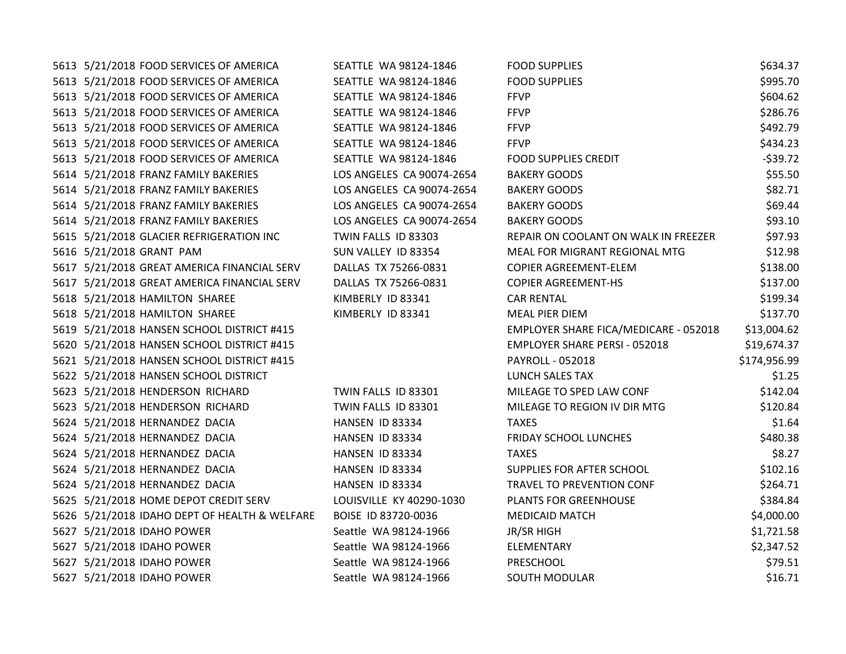5613 5/21/2018 FOOD SERVICES OF AMERICA SEATTLE WA 98124-1846 F 5613 5/21/2018 FOOD SERVICES OF AMERICA SEATTLE WA 98124-1846 F 5613 5/21/2018 FOOD SERVICES OF AMERICA SEATTLE WA 98124-1846 F 5613 5/21/2018 FOOD SERVICES OF AMERICA SEATTLE WA 98124-1846 F 5613 5/21/2018 FOOD SERVICES OF AMERICA SEATTLE WA 98124-1846 F 5613 5/21/2018 FOOD SERVICES OF AMERICA SEATTLE WA 98124-1846 F 5613 5/21/2018 FOOD SERVICES OF AMERICA SEATTLE WA 98124-1846 F 5614 5/21/2018 FRANZ FAMILY BAKERIES LOS ANGELES CA 90074-2654 B 5614 5/21/2018 FRANZ FAMILY BAKERIES LOS ANGELES CA 90074-2654 B 5614 5/21/2018 FRANZ FAMILY BAKERIES LOS ANGELES CA 90074-2654 B 5614 5/21/2018 FRANZ FAMILY BAKERIES LOS ANGELES CA 90074-2654 B. 5615 5/21/2018 GLACIER REFRIGERATION INC TWIN FALLS ID 83303 R 5616 5/21/2018 GRANT PAM SUN VALLEY ID 83354 5617 5/21/2018 GREAT AMERICA FINANCIAL SERV DALLAS TX 75266-0831 C 5617 5/21/2018 GREAT AMERICA FINANCIAL SERV DALLAS TX 75266-0831 C 5618 5/21/2018 HAMILTON SHAREE KIMBERLY ID 83341 C 5618 5/21/2018 HAMILTON SHAREE KIMBERLY ID 83341 5619 5/21/2018 HANSEN SCHOOL DISTRICT #415 EMPLOYER SHARE FIGAL SHARE FIGAL SHARE FIGAL SHARE - 052014.622018 5620 5/21/2018 HANSEN SCHOOL DISTRICT #415 EMPLOYER SHARE PERSI - 052018 EMPLOYER SHARE PERSI - 052018 514.374 5621 5/21/2018 HANSEN SCHOOL DISTRICT #415 PAYROLL - 0521 PAYROLL - 05214,999.999.999.999.999.999.99 5622 5/21/2018 HANSEN SCHOOL DISTRICT 5623 5/21/2018 HENDERSON RICHARD TWIN FALLS ID 83301 5623 5/21/2018 HENDERSON RICHARD TWIN FALLS ID 83301 5624 5/21/2018 HERNANDEZ DACIA **HANSEN ID 83334** T. 5624 5/21/2018 HERNANDEZ DACIA **HANSEN ID 83334** F 5624 5/21/2018 HERNANDEZ DACIA **HANSEN ID 83334** T. 5624 5/21/2018 HERNANDEZ DACIA **HANSEN ID 83334** S 5624 5/21/2018 HERNANDEZ DACIA **HANSEN ID 83334** 5625 5/21/2018 HOME DEPOT CREDIT SERV LOUISVILLE KY 40290-1030 P 5626 5/21/2018 IDAHO DEPT OF HEALTH & WELFARE BOISE ID 83720-0036 M 5627 5/21/2018 IDAHO POWER Seattle WA 98124-1966 JP 5627 5/21/2018 IDAHO POWER Seattle WA 98124-1966 ELEMENTARY \$2,347.524.527 5627 5/21/2018 IDAHO POWER Seattle WA 98124-1966 P 5627 5/21/2018 IDAHO POWER SEATTLE SEATTLE WA 98124-1966 SIDEO

| OOD SUPPLIES                         | \$634.37     |
|--------------------------------------|--------------|
| OOD SUPPLIES                         | \$995.70     |
| <b>FVP</b>                           | \$604.62     |
| <b>FVP</b>                           | \$286.76     |
| ∶FVP                                 | \$492.79     |
| <b>FVP</b>                           | \$434.23     |
| OOD SUPPLIES CREDIT                  | $-539.72$    |
| <b>AKERY GOODS</b>                   | \$55.50      |
| <b>AKERY GOODS</b>                   | \$82.71      |
| <b>AKERY GOODS</b>                   | \$69.44      |
| <b>AKERY GOODS</b>                   | \$93.10      |
| EPAIR ON COOLANT ON WALK IN FREEZER  | \$97.93      |
| <b>MEAL FOR MIGRANT REGIONAL MTG</b> | \$12.98      |
| <b>COPIER AGREEMENT-ELEM</b>         | \$138.00     |
| <b>COPIER AGREEMENT-HS</b>           | \$137.00     |
| <b>AR RENTAL</b>                     | \$199.34     |
| <b><i>MEAL PIER DIEM</i></b>         | \$137.70     |
| MPLOYER SHARE FICA/MEDICARE - 052018 | \$13,004.62  |
| MPLOYER SHARE PERSI - 052018         | \$19,674.37  |
| AYROLL - 052018                      | \$174,956.99 |
| <b>UNCH SALES TAX</b>                | \$1.25       |
| <b>MILEAGE TO SPED LAW CONF</b>      | \$142.04     |
| <b>MILEAGE TO REGION IV DIR MTG</b>  | \$120.84     |
| <b>AXES</b>                          | \$1.64       |
| RIDAY SCHOOL LUNCHES                 | \$480.38     |
| <b>AXES</b>                          | \$8.27       |
| UPPLIES FOR AFTER SCHOOL             | \$102.16     |
| RAVEL TO PREVENTION CONF             | \$264.71     |
| <b>LANTS FOR GREENHOUSE</b>          | \$384.84     |
| <b>JEDICAID MATCH</b>                | \$4,000.00   |
| R/SR HIGH                            | \$1,721.58   |
| <b>LEMENTARY</b>                     | \$2,347.52   |
| <b>RESCHOOL</b>                      | \$79.51      |
| <b>OUTH MODULAR</b>                  | \$16.71      |
|                                      |              |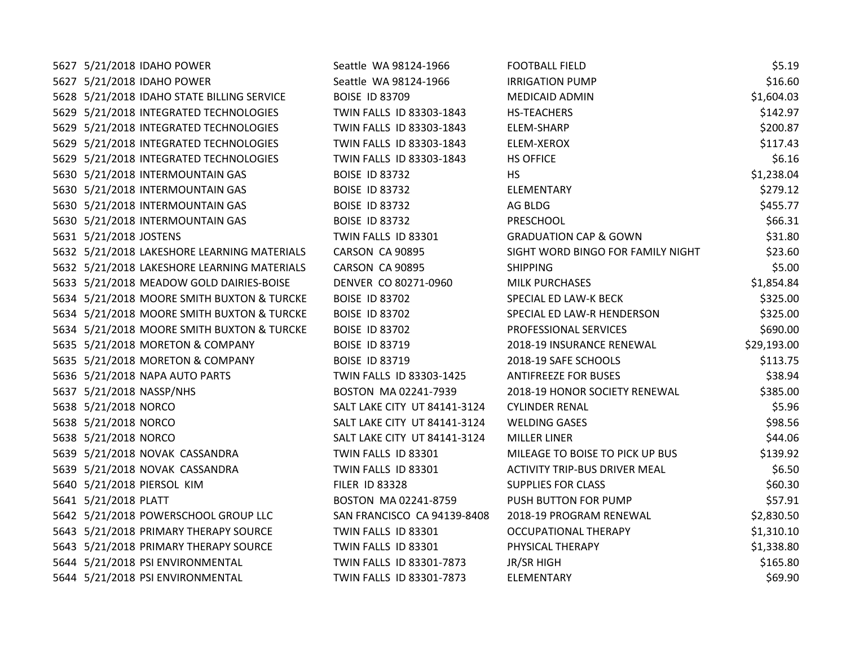| 5627 5/21/2018 IDAHO POWER                  | Seattle WA 98124-1966        | <b>FOOTBALL FIELD</b>                | \$5.19      |
|---------------------------------------------|------------------------------|--------------------------------------|-------------|
| 5627 5/21/2018 IDAHO POWER                  | Seattle WA 98124-1966        | <b>IRRIGATION PUMP</b>               | \$16.60     |
| 5628 5/21/2018 IDAHO STATE BILLING SERVICE  | <b>BOISE ID 83709</b>        | <b>MEDICAID ADMIN</b>                | \$1,604.03  |
| 5629 5/21/2018 INTEGRATED TECHNOLOGIES      | TWIN FALLS ID 83303-1843     | HS-TEACHERS                          | \$142.97    |
| 5629 5/21/2018 INTEGRATED TECHNOLOGIES      | TWIN FALLS ID 83303-1843     | ELEM-SHARP                           | \$200.87    |
| 5629 5/21/2018 INTEGRATED TECHNOLOGIES      | TWIN FALLS ID 83303-1843     | ELEM-XEROX                           | \$117.43    |
| 5629 5/21/2018 INTEGRATED TECHNOLOGIES      | TWIN FALLS ID 83303-1843     | <b>HS OFFICE</b>                     | \$6.16      |
| 5630 5/21/2018 INTERMOUNTAIN GAS            | <b>BOISE ID 83732</b>        | <b>HS</b>                            | \$1,238.04  |
| 5630 5/21/2018 INTERMOUNTAIN GAS            | <b>BOISE ID 83732</b>        | ELEMENTARY                           | \$279.12    |
| 5630 5/21/2018 INTERMOUNTAIN GAS            | <b>BOISE ID 83732</b>        | AG BLDG                              | \$455.77    |
| 5630 5/21/2018 INTERMOUNTAIN GAS            | <b>BOISE ID 83732</b>        | PRESCHOOL                            | \$66.31     |
| 5631 5/21/2018 JOSTENS                      | TWIN FALLS ID 83301          | <b>GRADUATION CAP &amp; GOWN</b>     | \$31.80     |
| 5632 5/21/2018 LAKESHORE LEARNING MATERIALS | CARSON CA 90895              | SIGHT WORD BINGO FOR FAMILY NIGHT    | \$23.60     |
| 5632 5/21/2018 LAKESHORE LEARNING MATERIALS | CARSON CA 90895              | <b>SHIPPING</b>                      | \$5.00      |
| 5633 5/21/2018 MEADOW GOLD DAIRIES-BOISE    | DENVER CO 80271-0960         | <b>MILK PURCHASES</b>                | \$1,854.84  |
| 5634 5/21/2018 MOORE SMITH BUXTON & TURCKE  | <b>BOISE ID 83702</b>        | SPECIAL ED LAW-K BECK                | \$325.00    |
| 5634 5/21/2018 MOORE SMITH BUXTON & TURCKE  | <b>BOISE ID 83702</b>        | SPECIAL ED LAW-R HENDERSON           | \$325.00    |
| 5634 5/21/2018 MOORE SMITH BUXTON & TURCKE  | <b>BOISE ID 83702</b>        | PROFESSIONAL SERVICES                | \$690.00    |
| 5635 5/21/2018 MORETON & COMPANY            | <b>BOISE ID 83719</b>        | 2018-19 INSURANCE RENEWAL            | \$29,193.00 |
| 5635 5/21/2018 MORETON & COMPANY            | <b>BOISE ID 83719</b>        | 2018-19 SAFE SCHOOLS                 | \$113.75    |
| 5636 5/21/2018 NAPA AUTO PARTS              | TWIN FALLS ID 83303-1425     | <b>ANTIFREEZE FOR BUSES</b>          | \$38.94     |
| 5637 5/21/2018 NASSP/NHS                    | BOSTON MA 02241-7939         | 2018-19 HONOR SOCIETY RENEWAL        | \$385.00    |
| 5638 5/21/2018 NORCO                        | SALT LAKE CITY UT 84141-3124 | <b>CYLINDER RENAL</b>                | \$5.96      |
| 5638 5/21/2018 NORCO                        | SALT LAKE CITY UT 84141-3124 | <b>WELDING GASES</b>                 | \$98.56     |
| 5638 5/21/2018 NORCO                        | SALT LAKE CITY UT 84141-3124 | <b>MILLER LINER</b>                  | \$44.06     |
| 5639 5/21/2018 NOVAK CASSANDRA              | TWIN FALLS ID 83301          | MILEAGE TO BOISE TO PICK UP BUS      | \$139.92    |
| 5639 5/21/2018 NOVAK CASSANDRA              | TWIN FALLS ID 83301          | <b>ACTIVITY TRIP-BUS DRIVER MEAL</b> | \$6.50      |
| 5640 5/21/2018 PIERSOL KIM                  | <b>FILER ID 83328</b>        | <b>SUPPLIES FOR CLASS</b>            | \$60.30     |
| 5641 5/21/2018 PLATT                        | BOSTON MA 02241-8759         | PUSH BUTTON FOR PUMP                 | \$57.91     |
| 5642 5/21/2018 POWERSCHOOL GROUP LLC        | SAN FRANCISCO CA 94139-8408  | 2018-19 PROGRAM RENEWAL              | \$2,830.50  |
| 5643 5/21/2018 PRIMARY THERAPY SOURCE       | TWIN FALLS ID 83301          | OCCUPATIONAL THERAPY                 | \$1,310.10  |
| 5643 5/21/2018 PRIMARY THERAPY SOURCE       | TWIN FALLS ID 83301          | PHYSICAL THERAPY                     | \$1,338.80  |
| 5644 5/21/2018 PSI ENVIRONMENTAL            | TWIN FALLS ID 83301-7873     | JR/SR HIGH                           | \$165.80    |
| 5644 5/21/2018 PSI ENVIRONMENTAL            | TWIN FALLS ID 83301-7873     | <b>ELEMENTARY</b>                    | \$69.90     |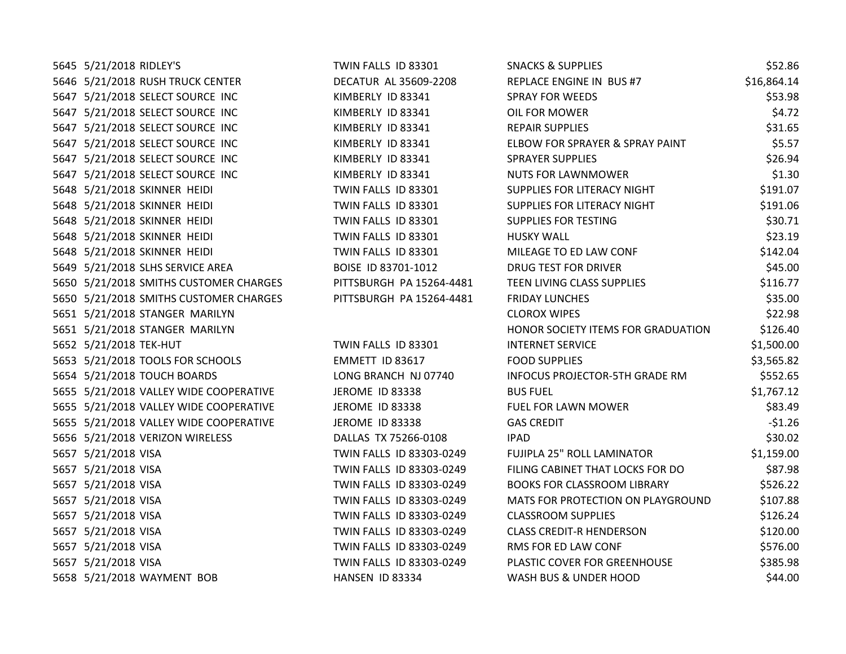| TWIN FALLS ID 83301                                                                                                                                                                                                                                                                                                                                                                                                                                                                                                                                                                                                                                                                                                                                                                                                                                                                                                                                                                                                                                                                                                                 | <b>SNACKS &amp; SUPPLIES</b>          | \$52.86     |
|-------------------------------------------------------------------------------------------------------------------------------------------------------------------------------------------------------------------------------------------------------------------------------------------------------------------------------------------------------------------------------------------------------------------------------------------------------------------------------------------------------------------------------------------------------------------------------------------------------------------------------------------------------------------------------------------------------------------------------------------------------------------------------------------------------------------------------------------------------------------------------------------------------------------------------------------------------------------------------------------------------------------------------------------------------------------------------------------------------------------------------------|---------------------------------------|-------------|
| DECATUR AL 35609-2208                                                                                                                                                                                                                                                                                                                                                                                                                                                                                                                                                                                                                                                                                                                                                                                                                                                                                                                                                                                                                                                                                                               | REPLACE ENGINE IN BUS #7              | \$16,864.14 |
| KIMBERLY ID 83341                                                                                                                                                                                                                                                                                                                                                                                                                                                                                                                                                                                                                                                                                                                                                                                                                                                                                                                                                                                                                                                                                                                   | <b>SPRAY FOR WEEDS</b>                | \$53.98     |
| KIMBERLY ID 83341                                                                                                                                                                                                                                                                                                                                                                                                                                                                                                                                                                                                                                                                                                                                                                                                                                                                                                                                                                                                                                                                                                                   | OIL FOR MOWER                         | \$4.72      |
| KIMBERLY ID 83341                                                                                                                                                                                                                                                                                                                                                                                                                                                                                                                                                                                                                                                                                                                                                                                                                                                                                                                                                                                                                                                                                                                   | <b>REPAIR SUPPLIES</b>                | \$31.65     |
| KIMBERLY ID 83341                                                                                                                                                                                                                                                                                                                                                                                                                                                                                                                                                                                                                                                                                                                                                                                                                                                                                                                                                                                                                                                                                                                   | ELBOW FOR SPRAYER & SPRAY PAINT       | \$5.57      |
| KIMBERLY ID 83341                                                                                                                                                                                                                                                                                                                                                                                                                                                                                                                                                                                                                                                                                                                                                                                                                                                                                                                                                                                                                                                                                                                   | <b>SPRAYER SUPPLIES</b>               | \$26.94     |
| KIMBERLY ID 83341                                                                                                                                                                                                                                                                                                                                                                                                                                                                                                                                                                                                                                                                                                                                                                                                                                                                                                                                                                                                                                                                                                                   | <b>NUTS FOR LAWNMOWER</b>             | \$1.30      |
| TWIN FALLS ID 83301                                                                                                                                                                                                                                                                                                                                                                                                                                                                                                                                                                                                                                                                                                                                                                                                                                                                                                                                                                                                                                                                                                                 | SUPPLIES FOR LITERACY NIGHT           | \$191.07    |
| TWIN FALLS ID 83301                                                                                                                                                                                                                                                                                                                                                                                                                                                                                                                                                                                                                                                                                                                                                                                                                                                                                                                                                                                                                                                                                                                 | SUPPLIES FOR LITERACY NIGHT           | \$191.06    |
| TWIN FALLS ID 83301                                                                                                                                                                                                                                                                                                                                                                                                                                                                                                                                                                                                                                                                                                                                                                                                                                                                                                                                                                                                                                                                                                                 | <b>SUPPLIES FOR TESTING</b>           | \$30.71     |
| TWIN FALLS ID 83301                                                                                                                                                                                                                                                                                                                                                                                                                                                                                                                                                                                                                                                                                                                                                                                                                                                                                                                                                                                                                                                                                                                 | <b>HUSKY WALL</b>                     | \$23.19     |
| TWIN FALLS ID 83301                                                                                                                                                                                                                                                                                                                                                                                                                                                                                                                                                                                                                                                                                                                                                                                                                                                                                                                                                                                                                                                                                                                 | MILEAGE TO ED LAW CONF                | \$142.04    |
| BOISE ID 83701-1012                                                                                                                                                                                                                                                                                                                                                                                                                                                                                                                                                                                                                                                                                                                                                                                                                                                                                                                                                                                                                                                                                                                 | <b>DRUG TEST FOR DRIVER</b>           | \$45.00     |
| PITTSBURGH PA 15264-4481                                                                                                                                                                                                                                                                                                                                                                                                                                                                                                                                                                                                                                                                                                                                                                                                                                                                                                                                                                                                                                                                                                            | TEEN LIVING CLASS SUPPLIES            | \$116.77    |
| PITTSBURGH PA 15264-4481                                                                                                                                                                                                                                                                                                                                                                                                                                                                                                                                                                                                                                                                                                                                                                                                                                                                                                                                                                                                                                                                                                            | <b>FRIDAY LUNCHES</b>                 | \$35.00     |
|                                                                                                                                                                                                                                                                                                                                                                                                                                                                                                                                                                                                                                                                                                                                                                                                                                                                                                                                                                                                                                                                                                                                     | <b>CLOROX WIPES</b>                   | \$22.98     |
|                                                                                                                                                                                                                                                                                                                                                                                                                                                                                                                                                                                                                                                                                                                                                                                                                                                                                                                                                                                                                                                                                                                                     | HONOR SOCIETY ITEMS FOR GRADUATION    | \$126.40    |
| TWIN FALLS ID 83301                                                                                                                                                                                                                                                                                                                                                                                                                                                                                                                                                                                                                                                                                                                                                                                                                                                                                                                                                                                                                                                                                                                 | <b>INTERNET SERVICE</b>               | \$1,500.00  |
| EMMETT ID 83617                                                                                                                                                                                                                                                                                                                                                                                                                                                                                                                                                                                                                                                                                                                                                                                                                                                                                                                                                                                                                                                                                                                     | <b>FOOD SUPPLIES</b>                  | \$3,565.82  |
| LONG BRANCH NJ 07740                                                                                                                                                                                                                                                                                                                                                                                                                                                                                                                                                                                                                                                                                                                                                                                                                                                                                                                                                                                                                                                                                                                | <b>INFOCUS PROJECTOR-5TH GRADE RM</b> | \$552.65    |
| JEROME ID 83338                                                                                                                                                                                                                                                                                                                                                                                                                                                                                                                                                                                                                                                                                                                                                                                                                                                                                                                                                                                                                                                                                                                     | <b>BUS FUEL</b>                       | \$1,767.12  |
| JEROME ID 83338                                                                                                                                                                                                                                                                                                                                                                                                                                                                                                                                                                                                                                                                                                                                                                                                                                                                                                                                                                                                                                                                                                                     | <b>FUEL FOR LAWN MOWER</b>            | \$83.49     |
| <b>JEROME ID 83338</b>                                                                                                                                                                                                                                                                                                                                                                                                                                                                                                                                                                                                                                                                                                                                                                                                                                                                                                                                                                                                                                                                                                              | <b>GAS CREDIT</b>                     | $-51.26$    |
| DALLAS TX 75266-0108                                                                                                                                                                                                                                                                                                                                                                                                                                                                                                                                                                                                                                                                                                                                                                                                                                                                                                                                                                                                                                                                                                                | <b>IPAD</b>                           | \$30.02     |
| TWIN FALLS ID 83303-0249                                                                                                                                                                                                                                                                                                                                                                                                                                                                                                                                                                                                                                                                                                                                                                                                                                                                                                                                                                                                                                                                                                            | FUJIPLA 25" ROLL LAMINATOR            | \$1,159.00  |
| TWIN FALLS ID 83303-0249                                                                                                                                                                                                                                                                                                                                                                                                                                                                                                                                                                                                                                                                                                                                                                                                                                                                                                                                                                                                                                                                                                            | FILING CABINET THAT LOCKS FOR DO      | \$87.98     |
| TWIN FALLS ID 83303-0249                                                                                                                                                                                                                                                                                                                                                                                                                                                                                                                                                                                                                                                                                                                                                                                                                                                                                                                                                                                                                                                                                                            | <b>BOOKS FOR CLASSROOM LIBRARY</b>    | \$526.22    |
| TWIN FALLS ID 83303-0249                                                                                                                                                                                                                                                                                                                                                                                                                                                                                                                                                                                                                                                                                                                                                                                                                                                                                                                                                                                                                                                                                                            | MATS FOR PROTECTION ON PLAYGROUND     | \$107.88    |
| TWIN FALLS ID 83303-0249                                                                                                                                                                                                                                                                                                                                                                                                                                                                                                                                                                                                                                                                                                                                                                                                                                                                                                                                                                                                                                                                                                            | <b>CLASSROOM SUPPLIES</b>             | \$126.24    |
| TWIN FALLS ID 83303-0249                                                                                                                                                                                                                                                                                                                                                                                                                                                                                                                                                                                                                                                                                                                                                                                                                                                                                                                                                                                                                                                                                                            | <b>CLASS CREDIT-R HENDERSON</b>       | \$120.00    |
| TWIN FALLS ID 83303-0249                                                                                                                                                                                                                                                                                                                                                                                                                                                                                                                                                                                                                                                                                                                                                                                                                                                                                                                                                                                                                                                                                                            | RMS FOR ED LAW CONF                   | \$576.00    |
| TWIN FALLS ID 83303-0249                                                                                                                                                                                                                                                                                                                                                                                                                                                                                                                                                                                                                                                                                                                                                                                                                                                                                                                                                                                                                                                                                                            | PLASTIC COVER FOR GREENHOUSE          | \$385.98    |
| HANSEN ID 83334                                                                                                                                                                                                                                                                                                                                                                                                                                                                                                                                                                                                                                                                                                                                                                                                                                                                                                                                                                                                                                                                                                                     | WASH BUS & UNDER HOOD                 | \$44.00     |
| 5645 5/21/2018 RIDLEY'S<br>5646 5/21/2018 RUSH TRUCK CENTER<br>5647 5/21/2018 SELECT SOURCE INC<br>5647 5/21/2018 SELECT SOURCE INC<br>5647 5/21/2018 SELECT SOURCE INC<br>5647 5/21/2018 SELECT SOURCE INC<br>5647 5/21/2018 SELECT SOURCE INC<br>5647 5/21/2018 SELECT SOURCE INC<br>5648 5/21/2018 SKINNER HEIDI<br>5648 5/21/2018 SKINNER HEIDI<br>5648 5/21/2018 SKINNER HEIDI<br>5648 5/21/2018 SKINNER HEIDI<br>5648 5/21/2018 SKINNER HEIDI<br>5649 5/21/2018 SLHS SERVICE AREA<br>5650 5/21/2018 SMITHS CUSTOMER CHARGES<br>5650 5/21/2018 SMITHS CUSTOMER CHARGES<br>5651 5/21/2018 STANGER MARILYN<br>5651 5/21/2018 STANGER MARILYN<br>5652 5/21/2018 TEK-HUT<br>5653 5/21/2018 TOOLS FOR SCHOOLS<br>5654 5/21/2018 TOUCH BOARDS<br>5655 5/21/2018 VALLEY WIDE COOPERATIVE<br>5655 5/21/2018 VALLEY WIDE COOPERATIVE<br>5655 5/21/2018 VALLEY WIDE COOPERATIVE<br>5656 5/21/2018 VERIZON WIRELESS<br>5657 5/21/2018 VISA<br>5657 5/21/2018 VISA<br>5657 5/21/2018 VISA<br>5657 5/21/2018 VISA<br>5657 5/21/2018 VISA<br>5657 5/21/2018 VISA<br>5657 5/21/2018 VISA<br>5657 5/21/2018 VISA<br>5658 5/21/2018 WAYMENT BOB |                                       |             |